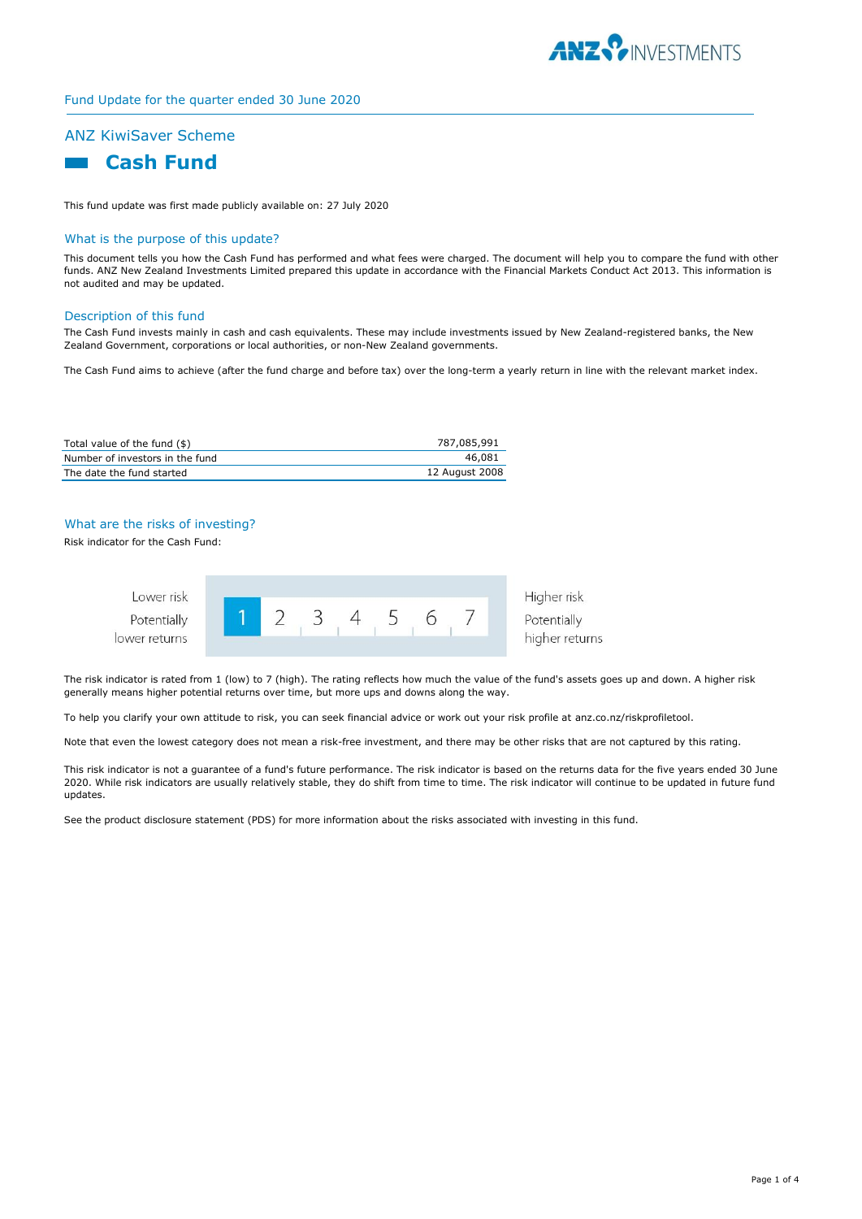

# Fund Update for the quarter ended 30 June 2020

# ANZ KiwiSaver Scheme



This fund update was first made publicly available on: 27 July 2020

#### What is the purpose of this update?

This document tells you how the Cash Fund has performed and what fees were charged. The document will help you to compare the fund with other funds. ANZ New Zealand Investments Limited prepared this update in accordance with the Financial Markets Conduct Act 2013. This information is not audited and may be updated.

#### Description of this fund

The Cash Fund invests mainly in cash and cash equivalents. These may include investments issued by New Zealand-registered banks, the New Zealand Government, corporations or local authorities, or non-New Zealand governments.

The Cash Fund aims to achieve (after the fund charge and before tax) over the long-term a yearly return in line with the relevant market index.

| Total value of the fund (\$)    | 787,085,991    |
|---------------------------------|----------------|
| Number of investors in the fund | 46.081         |
| The date the fund started       | 12 August 2008 |

### What are the risks of investing?

Risk indicator for the Cash Fund:



The risk indicator is rated from 1 (low) to 7 (high). The rating reflects how much the value of the fund's assets goes up and down. A higher risk generally means higher potential returns over time, but more ups and downs along the way.

To help you clarify your own attitude to risk, you can seek financial advice or work out your risk profile at anz.co.nz/riskprofiletool.

Note that even the lowest category does not mean a risk-free investment, and there may be other risks that are not captured by this rating.

This risk indicator is not a guarantee of a fund's future performance. The risk indicator is based on the returns data for the five years ended 30 June 2020. While risk indicators are usually relatively stable, they do shift from time to time. The risk indicator will continue to be updated in future fund updates.

See the product disclosure statement (PDS) for more information about the risks associated with investing in this fund.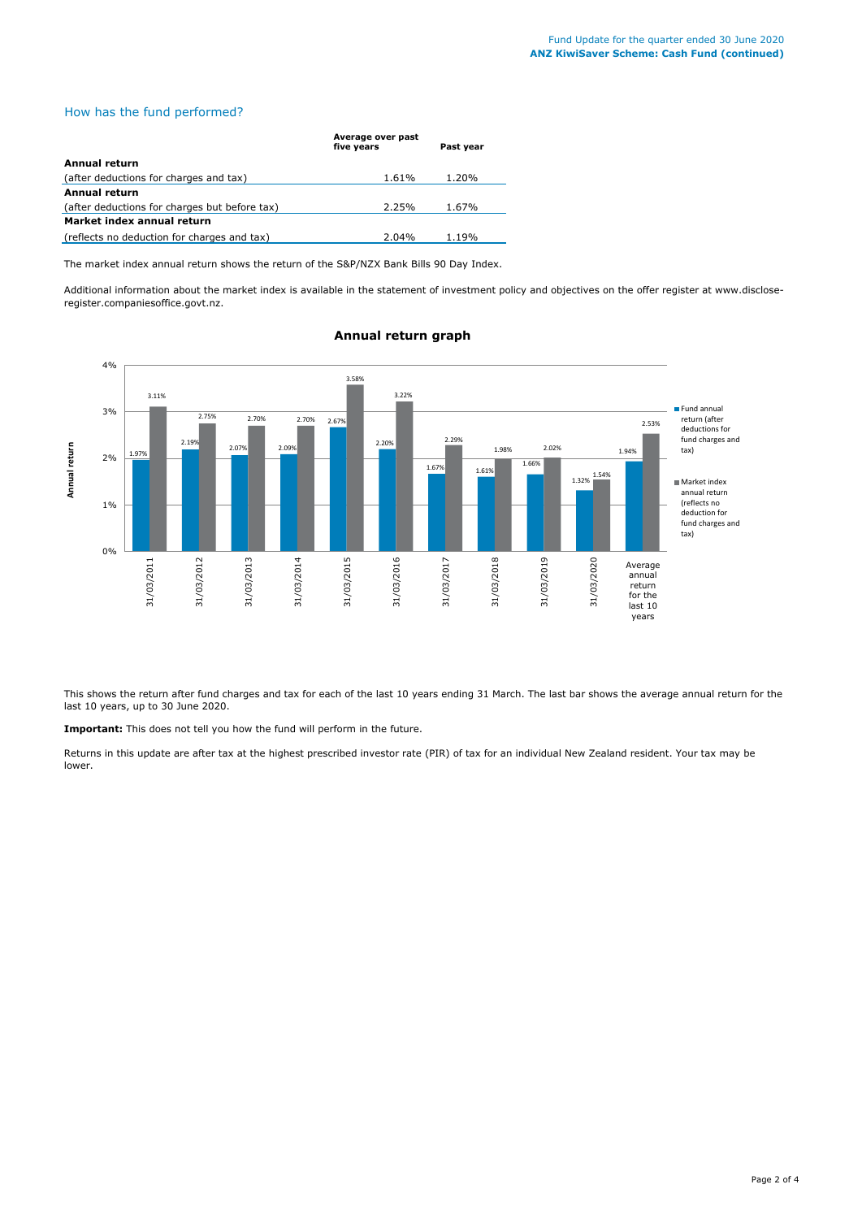## How has the fund performed?

|                                               | Average over past<br>five years | Past year |  |  |
|-----------------------------------------------|---------------------------------|-----------|--|--|
| Annual return                                 |                                 |           |  |  |
| (after deductions for charges and tax)        | 1.61%                           | 1.20%     |  |  |
| Annual return                                 |                                 |           |  |  |
| (after deductions for charges but before tax) | 2.25%                           | 1.67%     |  |  |
| Market index annual return                    |                                 |           |  |  |
| (reflects no deduction for charges and tax)   | $2.04\%$                        | 1.19%     |  |  |

The market index annual return shows the return of the S&P/NZX Bank Bills 90 Day Index.

Additional information about the market index is available in the statement of investment policy and objectives on the offer register at www.discloseregister.companiesoffice.govt.nz.



## **Annual return graph**

This shows the return after fund charges and tax for each of the last 10 years ending 31 March. The last bar shows the average annual return for the last 10 years, up to 30 June 2020.

**Important:** This does not tell you how the fund will perform in the future.

Returns in this update are after tax at the highest prescribed investor rate (PIR) of tax for an individual New Zealand resident. Your tax may be lower.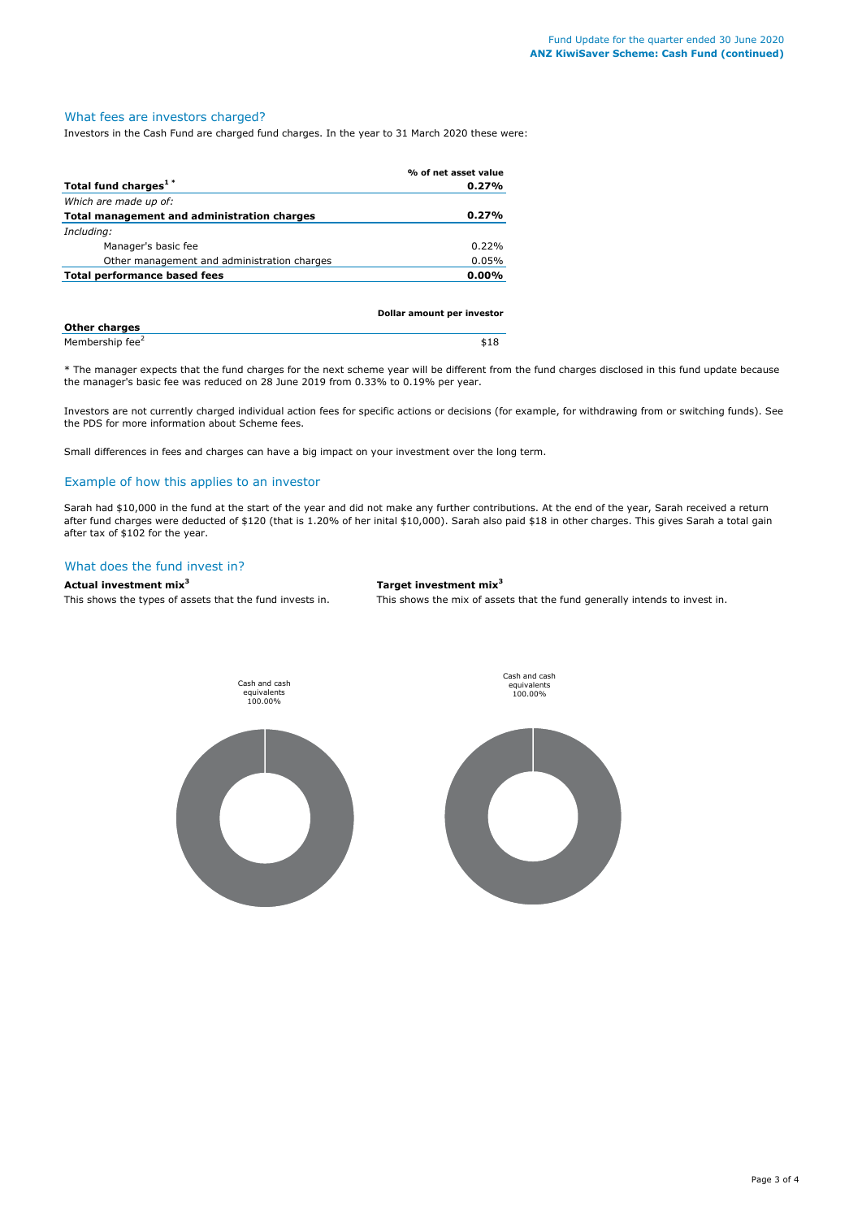### What fees are investors charged?

Investors in the Cash Fund are charged fund charges. In the year to 31 March 2020 these were:

|                                             | % of net asset value |
|---------------------------------------------|----------------------|
| Total fund charges <sup>1*</sup>            | 0.27%                |
| Which are made up of:                       |                      |
| Total management and administration charges | 0.27%                |
| Including:                                  |                      |
| Manager's basic fee                         | 0.22%                |
| Other management and administration charges | 0.05%                |
| Total performance based fees                | $0.00\%$             |
|                                             |                      |

|                             | Dollar amount per investor |  |
|-----------------------------|----------------------------|--|
| <b>Other charges</b>        |                            |  |
| Membership fee <sup>2</sup> | \$18                       |  |

\* The manager expects that the fund charges for the next scheme year will be different from the fund charges disclosed in this fund update because the manager's basic fee was reduced on 28 June 2019 from 0.33% to 0.19% per year.

Investors are not currently charged individual action fees for specific actions or decisions (for example, for withdrawing from or switching funds). See the PDS for more information about Scheme fees.

Small differences in fees and charges can have a big impact on your investment over the long term.

### Example of how this applies to an investor

Sarah had \$10,000 in the fund at the start of the year and did not make any further contributions. At the end of the year, Sarah received a return after fund charges were deducted of \$120 (that is 1.20% of her inital \$10,000). Sarah also paid \$18 in other charges. This gives Sarah a total gain after tax of \$102 for the year.

#### What does the fund invest in?

#### **Actual investment mix<sup>3</sup> Target investment mix<sup>3</sup>**

This shows the types of assets that the fund invests in. This shows the mix of assets that the fund generally intends to invest in.